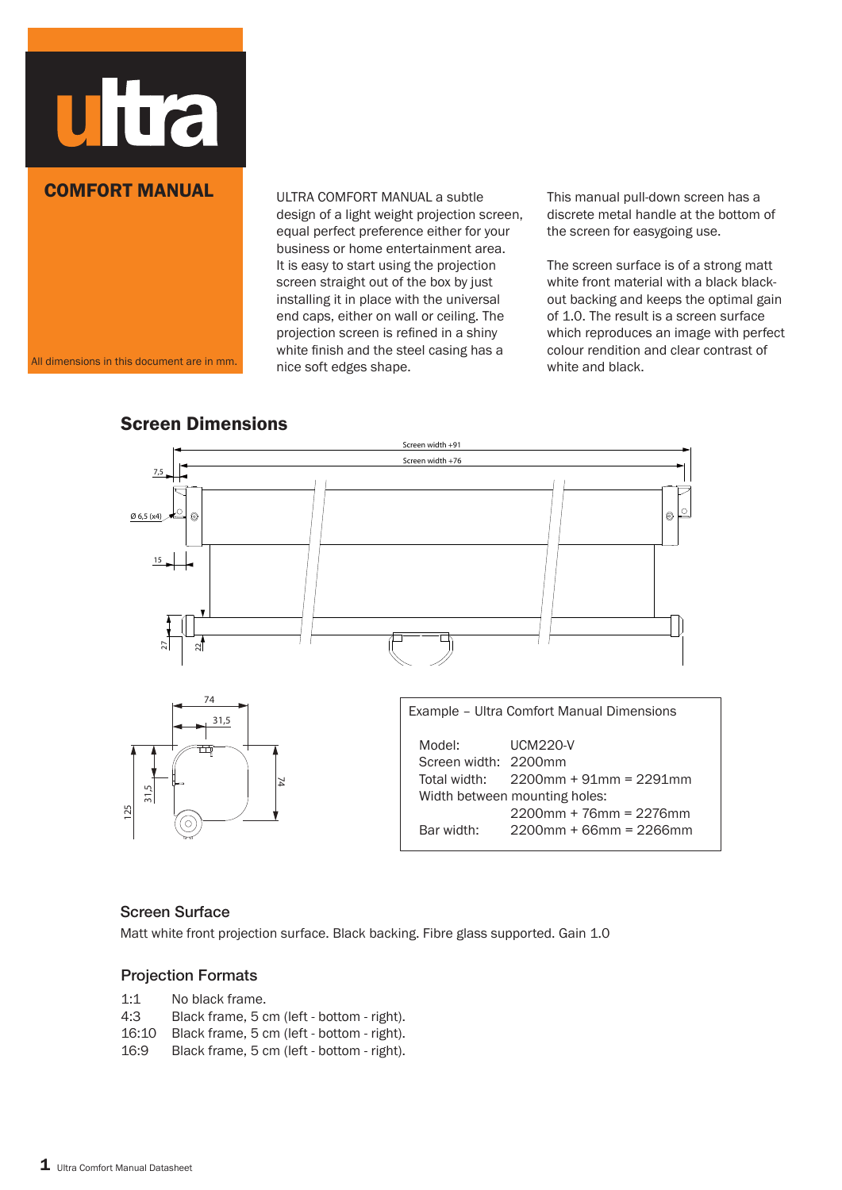

### COMFORT MANUAL

All dimensions in this document are in mm.

ULTRA COMFORT MANUAL a subtle design of a light weight projection screen, equal perfect preference either for your business or home entertainment area. It is easy to start using the projection screen straight out of the box by just installing it in place with the universal end caps, either on wall or ceiling. The projection screen is refined in a shiny white finish and the steel casing has a nice soft edges shape.

This manual pull-down screen has a discrete metal handle at the bottom of the screen for easygoing use.

The screen surface is of a strong matt white front material with a black blackout backing and keeps the optimal gain of 1.0. The result is a screen surface which reproduces an image with perfect colour rendition and clear contrast of white and black.

## Screen Dimensions



#### Screen Surface

Matt white front projection surface. Black backing. Fibre glass supported. Gain 1.0

#### Projection Formats

- 1:1 No black frame.
- 4:3 Black frame, 5 cm (left bottom right).
- 16:10 Black frame, 5 cm (left bottom right).
- 16:9 Black frame, 5 cm (left bottom right).